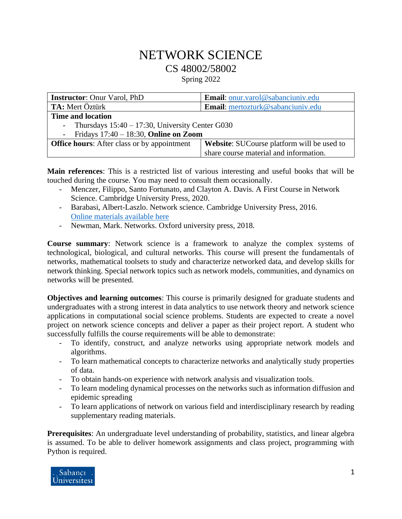## NETWORK SCIENCE CS 48002/58002 Spring 2022

| <b>Instructor:</b> Onur Varol, PhD                 | <b>Email:</b> onur.varol@sabanciuniv.edu          |  |
|----------------------------------------------------|---------------------------------------------------|--|
| <b>TA:</b> Mert Öztürk                             | Email: mertozturk@sabanciuniv.edu                 |  |
| <b>Time and location</b>                           |                                                   |  |
| Thursdays $15:40 - 17:30$ , University Center G030 |                                                   |  |
| Fridays $17:40 - 18:30$ , Online on Zoom           |                                                   |  |
| <b>Office hours:</b> After class or by appointment | <b>Website:</b> SUCourse platform will be used to |  |
|                                                    | share course material and information.            |  |

**Main references**: This is a restricted list of various interesting and useful books that will be touched during the course. You may need to consult them occasionally.

- Menczer, Filippo, Santo Fortunato, and Clayton A. Davis. A First Course in Network Science. Cambridge University Press, 2020.
- Barabasi, Albert-Laszlo. Network science. Cambridge University Press, 2016. [Online materials](http://networksciencebook.com/) available here
- Newman, Mark. Networks. Oxford university press, 2018.

**Course summary**: Network science is a framework to analyze the complex systems of technological, biological, and cultural networks. This course will present the fundamentals of networks, mathematical toolsets to study and characterize networked data, and develop skills for network thinking. Special network topics such as network models, communities, and dynamics on networks will be presented.

**Objectives and learning outcomes**: This course is primarily designed for graduate students and undergraduates with a strong interest in data analytics to use network theory and network science applications in computational social science problems. Students are expected to create a novel project on network science concepts and deliver a paper as their project report. A student who successfully fulfills the course requirements will be able to demonstrate:

- To identify, construct, and analyze networks using appropriate network models and algorithms.
- To learn mathematical concepts to characterize networks and analytically study properties of data.
- To obtain hands-on experience with network analysis and visualization tools.
- To learn modeling dynamical processes on the networks such as information diffusion and epidemic spreading
- To learn applications of network on various field and interdisciplinary research by reading supplementary reading materials.

**Prerequisites**: An undergraduate level understanding of probability, statistics, and linear algebra is assumed. To be able to deliver homework assignments and class project, programming with Python is required.